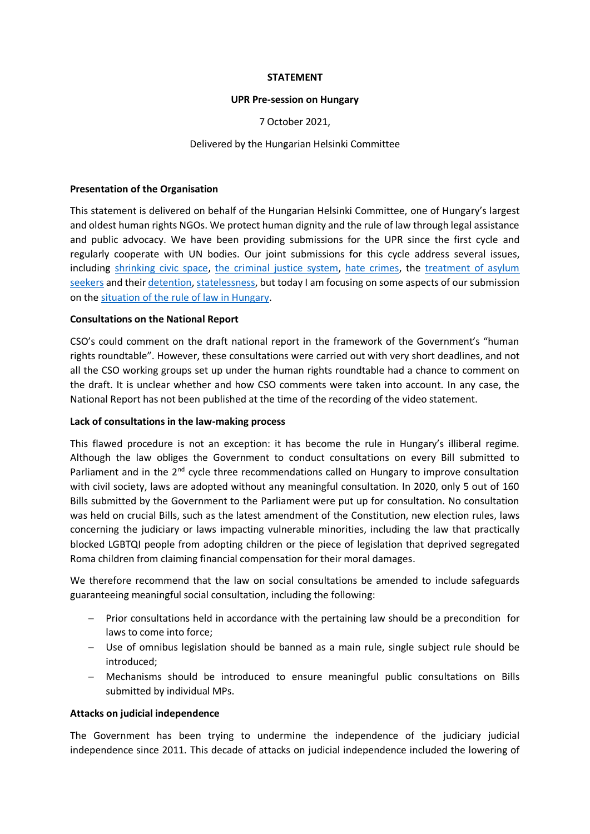## **STATEMENT**

## **UPR Pre-session on Hungary**

7 October 2021,

# Delivered by the Hungarian Helsinki Committee

## **Presentation of the Organisation**

This statement is delivered on behalf of the Hungarian Helsinki Committee, one of Hungary's largest and oldest human rights NGOs. We protect human dignity and the rule of law through legal assistance and public advocacy. We have been providing submissions for the UPR since the first cycle and regularly cooperate with UN bodies. Our joint submissions for this cycle address several issues, including [shrinking civic space,](https://helsinki.hu/en/wp-content/uploads/sites/2/2021/03/UPR_submission_3rdcycle_civilspace.pdf) [the criminal justice system,](https://helsinki.hu/wp-content/uploads/2021/03/HHC_UPR2021_Hungary_criminal_justice_web.pdf) [hate crimes,](https://helsinki.hu/wp-content/uploads/2021/03/WGAHC_UPR_Hungary_2021.pdf) the [treatment of asylum](https://helsinki.hu/wp-content/uploads/2021/03/HHC_Menedek_UPR2021_Hungary_Migrants_web.pdf)  [seekers](https://helsinki.hu/wp-content/uploads/2021/03/HHC_Menedek_UPR2021_Hungary_Migrants_web.pdf) and thei[r detention,](https://helsinki.hu/wp-content/uploads/2021/03/GDP_HHC_Submission_to_the_UPR_Hungary_2021.pdf) [statelessness,](https://helsinki.hu/wp-content/uploads/2021/03/ENS_HHC_ISI_UPR_Submission_Hungary_2021.pdf) but today I am focusing on some aspects of our submission on the [situation of the rule of law](https://helsinki.hu/wp-content/uploads/2021/03/AIHU_EKINT_HHC_UPR2021_Hungary_RoL_web.pdf) in Hungary.

## **Consultations on the National Report**

CSO's could comment on the draft national report in the framework of the Government's "human rights roundtable". However, these consultations were carried out with very short deadlines, and not all the CSO working groups set up under the human rights roundtable had a chance to comment on the draft. It is unclear whether and how CSO comments were taken into account. In any case, the National Report has not been published at the time of the recording of the video statement.

## **Lack of consultations in the law-making process**

This flawed procedure is not an exception: it has become the rule in Hungary's illiberal regime. Although the law obliges the Government to conduct consultations on every Bill submitted to Parliament and in the 2<sup>nd</sup> cycle three recommendations called on Hungary to improve consultation with civil society, laws are adopted without any meaningful consultation. In 2020, only 5 out of 160 Bills submitted by the Government to the Parliament were put up for consultation. No consultation was held on crucial Bills, such as the latest amendment of the Constitution, new election rules, laws concerning the judiciary or laws impacting vulnerable minorities, including the law that practically blocked LGBTQI people from adopting children or the piece of legislation that deprived segregated Roma children from claiming financial compensation for their moral damages.

We therefore recommend that the law on social consultations be amended to include safeguards guaranteeing meaningful social consultation, including the following:

- Prior consultations held in accordance with the pertaining law should be a precondition for laws to come into force;
- Use of omnibus legislation should be banned as a main rule, single subject rule should be introduced;
- Mechanisms should be introduced to ensure meaningful public consultations on Bills submitted by individual MPs.

## **Attacks on judicial independence**

The Government has been trying to undermine the independence of the judiciary judicial independence since 2011. This decade of attacks on judicial independence included the lowering of